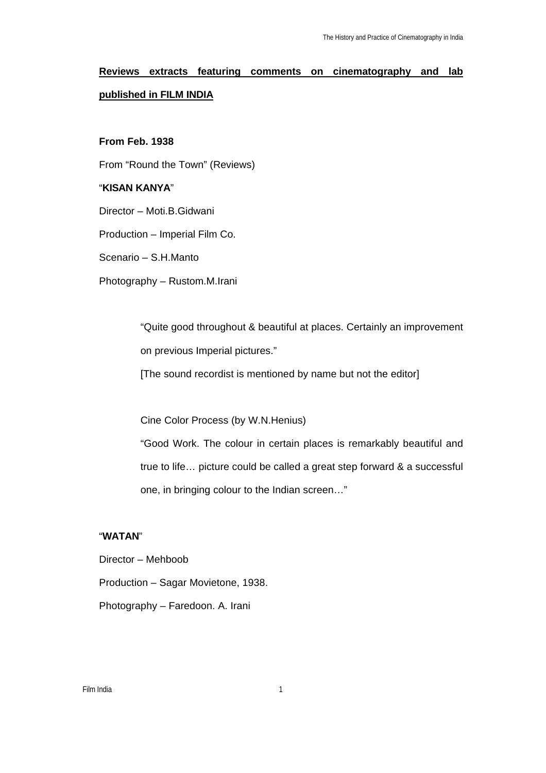# **Reviews extracts featuring comments on cinematography and lab published in FILM INDIA**

#### **From Feb. 1938**

From "Round the Town" (Reviews)

#### "**KISAN KANYA**"

Director – Moti.B.Gidwani

Production – Imperial Film Co.

Scenario – S.H.Manto

Photography – Rustom.M.Irani

"Quite good throughout & beautiful at places. Certainly an improvement on previous Imperial pictures."

[The sound recordist is mentioned by name but not the editor]

Cine Color Process (by W.N.Henius)

"Good Work. The colour in certain places is remarkably beautiful and true to life… picture could be called a great step forward & a successful one, in bringing colour to the Indian screen…"

#### "**WATAN**"

Director – Mehboob Production – Sagar Movietone, 1938. Photography – Faredoon. A. Irani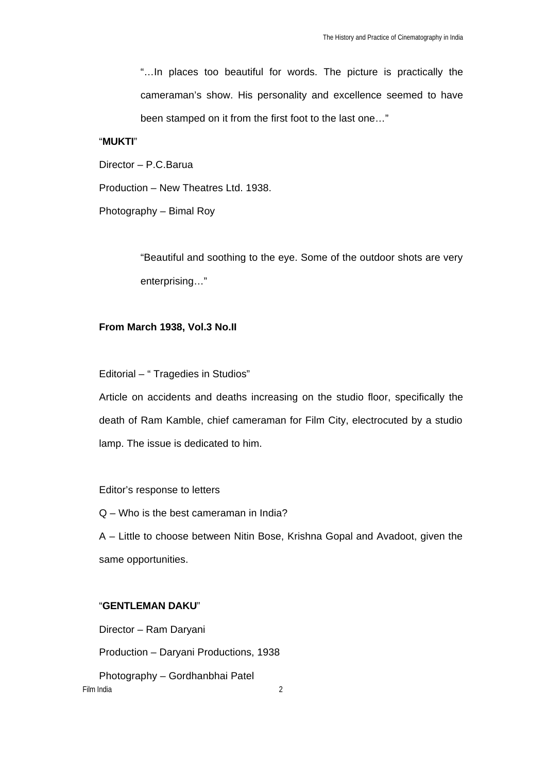"…In places too beautiful for words. The picture is practically the cameraman's show. His personality and excellence seemed to have been stamped on it from the first foot to the last one…"

#### "**MUKTI**"

Director – P.C.Barua

Production – New Theatres Ltd. 1938.

Photography – Bimal Roy

"Beautiful and soothing to the eye. Some of the outdoor shots are very enterprising…"

#### **From March 1938, Vol.3 No.II**

Editorial – " Tragedies in Studios"

Article on accidents and deaths increasing on the studio floor, specifically the death of Ram Kamble, chief cameraman for Film City, electrocuted by a studio lamp. The issue is dedicated to him.

Editor's response to letters

Q – Who is the best cameraman in India?

A – Little to choose between Nitin Bose, Krishna Gopal and Avadoot, given the same opportunities.

#### "**GENTLEMAN DAKU**"

Director – Ram Daryani

Production – Daryani Productions, 1938

Film India 2 Photography – Gordhanbhai Patel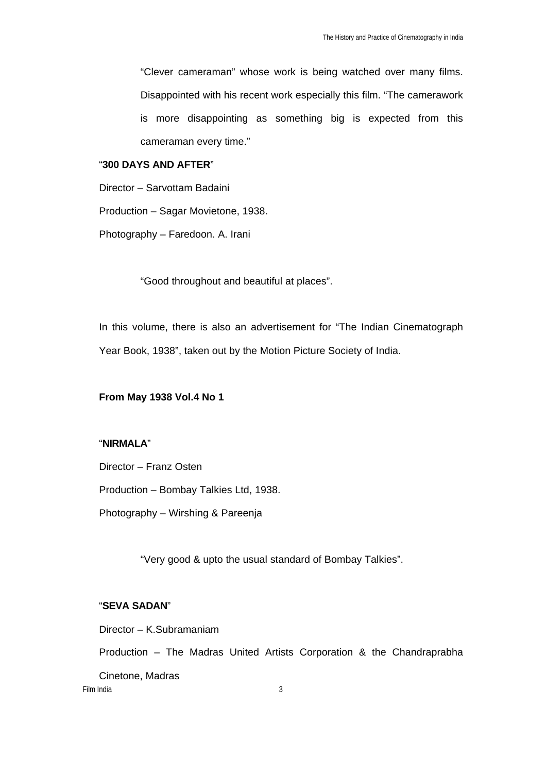"Clever cameraman" whose work is being watched over many films. Disappointed with his recent work especially this film. "The camerawork is more disappointing as something big is expected from this cameraman every time."

#### "**300 DAYS AND AFTER**"

Director – Sarvottam Badaini

Production – Sagar Movietone, 1938.

Photography – Faredoon. A. Irani

"Good throughout and beautiful at places".

In this volume, there is also an advertisement for "The Indian Cinematograph Year Book, 1938", taken out by the Motion Picture Society of India.

#### **From May 1938 Vol.4 No 1**

## "**NIRMALA**"

Director – Franz Osten

Production – Bombay Talkies Ltd, 1938.

Photography – Wirshing & Pareenja

"Very good & upto the usual standard of Bombay Talkies".

#### "**SEVA SADAN**"

Director – K.Subramaniam

Production – The Madras United Artists Corporation & the Chandraprabha

Film India 3 Cinetone, Madras